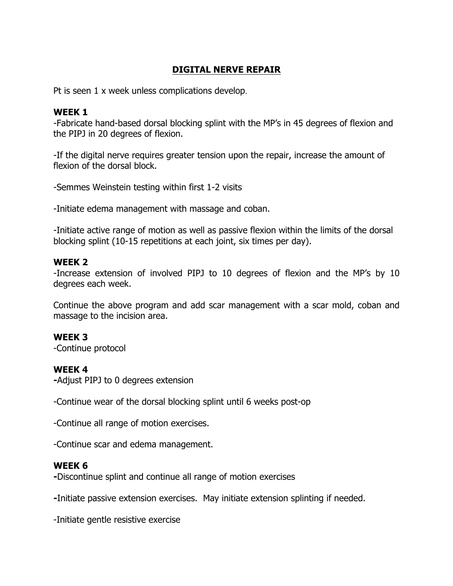# **DIGITAL NERVE REPAIR**

Pt is seen 1 x week unless complications develop.

#### **WEEK 1**

-Fabricate hand-based dorsal blocking splint with the MP's in 45 degrees of flexion and the PIPJ in 20 degrees of flexion.

-If the digital nerve requires greater tension upon the repair, increase the amount of flexion of the dorsal block.

-Semmes Weinstein testing within first 1-2 visits

-Initiate edema management with massage and coban.

-Initiate active range of motion as well as passive flexion within the limits of the dorsal blocking splint (10-15 repetitions at each joint, six times per day).

## **WEEK 2**

-Increase extension of involved PIPJ to 10 degrees of flexion and the MP's by 10 degrees each week.

Continue the above program and add scar management with a scar mold, coban and massage to the incision area.

## **WEEK 3**

-Continue protocol

## **WEEK 4**

**-**Adjust PIPJ to 0 degrees extension

-Continue wear of the dorsal blocking splint until 6 weeks post-op

-Continue all range of motion exercises.

-Continue scar and edema management.

## **WEEK 6**

**-**Discontinue splint and continue all range of motion exercises

**-**Initiate passive extension exercises. May initiate extension splinting if needed.

-Initiate gentle resistive exercise